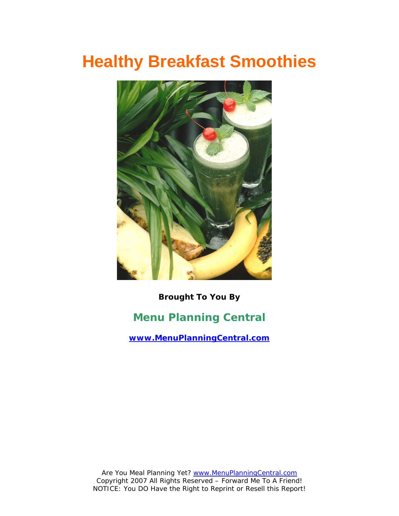# **Healthy Breakfast Smoothies**



**Brought To You By Menu Planning Central [www.MenuPlanningCentral.com](http://www.menuplanningcentral.com/)**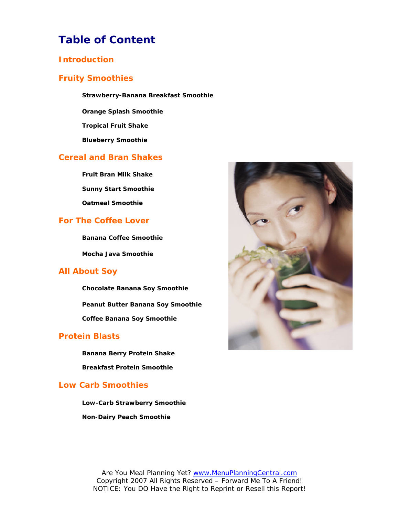# **Table of Content**

### **Introduction**

### **Fruity Smoothies**

**Strawberry-Banana Breakfast Smoothie**

**Orange Splash Smoothie** 

**Tropical Fruit Shake** 

**Blueberry Smoothie** 

### **Cereal and Bran Shakes**

**Fruit Bran Milk Shake Sunny Start Smoothie Oatmeal Smoothie**

### **For The Coffee Lover**

**Banana Coffee Smoothie** 

**Mocha Java Smoothie** 

### **All About Soy**

**Chocolate Banana Soy Smoothie Peanut Butter Banana Soy Smoothie Coffee Banana Soy Smoothie**

### **Protein Blasts**

**Banana Berry Protein Shake Breakfast Protein Smoothie**

### **Low Carb Smoothies**

**Low-Carb Strawberry Smoothie Non-Dairy Peach Smoothie**

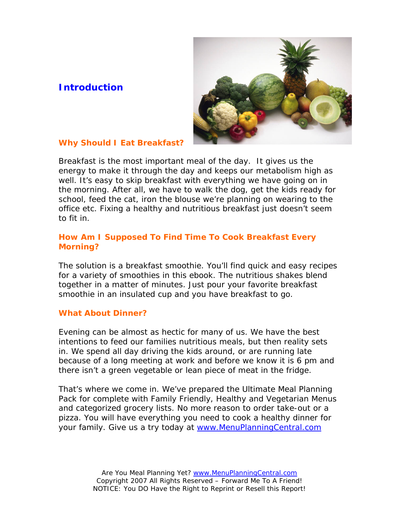# **Introduction**



## **Why Should I Eat Breakfast?**

Breakfast is the most important meal of the day. It gives us the energy to make it through the day and keeps our metabolism high as well. It's easy to skip breakfast with everything we have going on in the morning. After all, we have to walk the dog, get the kids ready for school, feed the cat, iron the blouse we're planning on wearing to the office etc. Fixing a healthy and nutritious breakfast just doesn't seem to fit in.

# **How Am I Supposed To Find Time To Cook Breakfast Every Morning?**

The solution is a breakfast smoothie. You'll find quick and easy recipes for a variety of smoothies in this ebook. The nutritious shakes blend together in a matter of minutes. Just pour your favorite breakfast smoothie in an insulated cup and you have breakfast to go.

### **What About Dinner?**

Evening can be almost as hectic for many of us. We have the best intentions to feed our families nutritious meals, but then reality sets in. We spend all day driving the kids around, or are running late because of a long meeting at work and before we know it is 6 pm and there isn't a green vegetable or lean piece of meat in the fridge.

That's where we come in. We've prepared the Ultimate Meal Planning Pack for complete with Family Friendly, Healthy and Vegetarian Menus and categorized grocery lists. No more reason to order take-out or a pizza. You will have everything you need to cook a healthy dinner for your family. Give us a try today at [www.MenuPlanningCentral.com](http://www.menuplanningcentral.com/)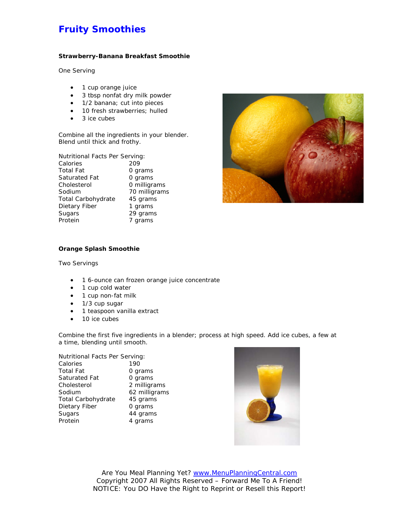# **Fruity Smoothies**

#### **Strawberry-Banana Breakfast Smoothie**

One Serving

- 1 cup orange juice
- 3 tbsp nonfat dry milk powder
- 1/2 banana; cut into pieces
- 10 fresh strawberries; hulled
- 3 ice cubes

Combine all the ingredients in your blender. Blend until thick and frothy.

| Nutritional Facts Per Serving: |               |
|--------------------------------|---------------|
| Calories                       | 209           |
| <b>Total Fat</b>               | 0 grams       |
| Saturated Fat                  | 0 grams       |
| Cholesterol                    | 0 milligrams  |
| Sodium                         | 70 milligrams |
| <b>Total Carbohydrate</b>      | 45 grams      |
| Dietary Fiber                  | 1 grams       |
| Sugars                         | 29 grams      |
| Protein                        | 7 grams       |



#### **Orange Splash Smoothie**

Two Servings

- 1 6-ounce can frozen orange juice concentrate
- 1 cup cold water
- 1 cup non-fat milk
- 1/3 cup sugar
- 1 teaspoon vanilla extract
- 10 ice cubes

Combine the first five ingredients in a blender; process at high speed. Add ice cubes, a few at a time, blending until smooth.

Nutritional Facts Per Serving:

| Calories                  | 190           |
|---------------------------|---------------|
| Total Fat                 | 0 grams       |
| Saturated Fat             | 0 grams       |
| Cholesterol               | 2 milligrams  |
| Sodium                    | 62 milligrams |
| <b>Total Carbohydrate</b> | 45 grams      |
| Dietary Fiber             | 0 grams       |
| Sugars                    | 44 grams      |
| Protein                   | 4 grams       |
|                           |               |

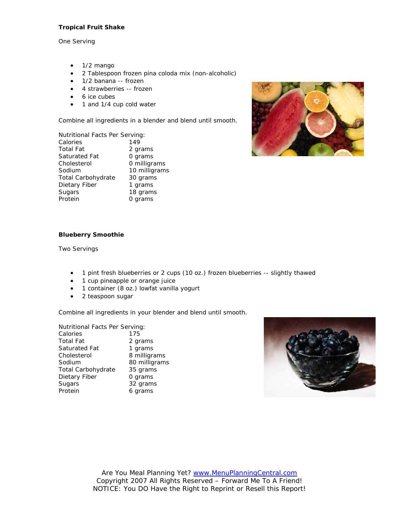#### **Tropical Fruit Shake**

One Serving

- $\bullet$  1/2 mango
- 2 Tablespoon frozen pina coloda mix (non-alcoholic)
- 1/2 banana -- frozen
- 4 strawberries -- frozen
- 6 ice cubes
- 1 and 1/4 cup cold water

Combine all ingredients in a blender and blend until smooth.

| Nutritional Facts Per Serving: |               |
|--------------------------------|---------------|
| Calories                       | 149           |
| Total Fat                      | 2 grams       |
| Saturated Fat                  | 0 grams       |
| Cholesterol                    | 0 milligrams  |
| Sodium                         | 10 milligrams |
| Total Carbohydrate             | 30 grams      |
| Dietary Fiber                  | 1 grams       |
| Sugars                         | 18 grams      |
| Protein                        | 0 grams       |
|                                |               |



#### **Blueberry Smoothie**

Two Servings

- 1 pint fresh blueberries or 2 cups (10 oz.) frozen blueberries -- slightly thawed
- 1 cup pineapple or orange juice
- 1 container (8 oz.) lowfat vanilla yogurt
- 2 teaspoon sugar

Combine all ingredients in your blender and blend until smooth.

Nutritional Facts Per Serving: Calories 175 Total Fat 2 grams Saturated Fat 1 grams Cholesterol 8 milligrams Sodium 80 milligrams Total Carbohydrate 35 grams Dietary Fiber 0 grams Sugars 32 grams Protein 6 grams

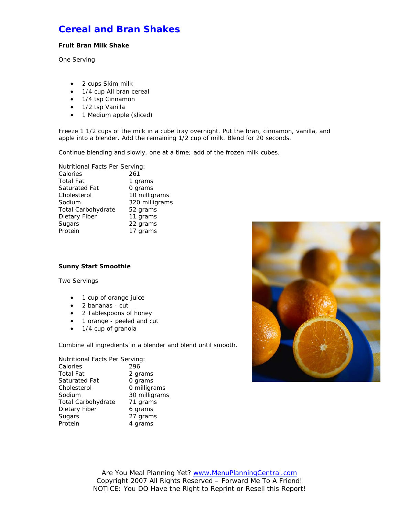# **Cereal and Bran Shakes**

#### **Fruit Bran Milk Shake**

One Serving

- 2 cups Skim milk
- 1/4 cup All bran cereal
- 1/4 tsp Cinnamon
- 1/2 tsp Vanilla
- 1 Medium apple (sliced)

Freeze 1 1/2 cups of the milk in a cube tray overnight. Put the bran, cinnamon, vanilla, and apple into a blender. Add the remaining 1/2 cup of milk. Blend for 20 seconds.

Continue blending and slowly, one at a time; add of the frozen milk cubes.

| Nutritional Facts Per Serving: |  |
|--------------------------------|--|
| 261                            |  |
| 1 grams                        |  |
| 0 grams                        |  |
| 10 milligrams                  |  |
| 320 milligrams                 |  |
| 52 grams                       |  |
| 11 grams                       |  |
| 22 grams                       |  |
| 17 grams                       |  |
|                                |  |

#### **Sunny Start Smoothie**

Two Servings

- 1 cup of orange juice
- 2 bananas cut
- 2 Tablespoons of honey
- 1 orange peeled and cut
- 1/4 cup of granola

Combine all ingredients in a blender and blend until smooth.

| Nutritional Facts Per Serving: |               |
|--------------------------------|---------------|
| Calories                       | 296           |
| <b>Total Fat</b>               | 2 grams       |
| Saturated Fat                  | 0 grams       |
| Cholesterol                    | 0 milligrams  |
| Sodium                         | 30 milligrams |
| <b>Total Carbohydrate</b>      | 71 grams      |
| Dietary Fiber                  | 6 grams       |
| Sugars                         | 27 grams      |
| Protein                        | 4 grams       |

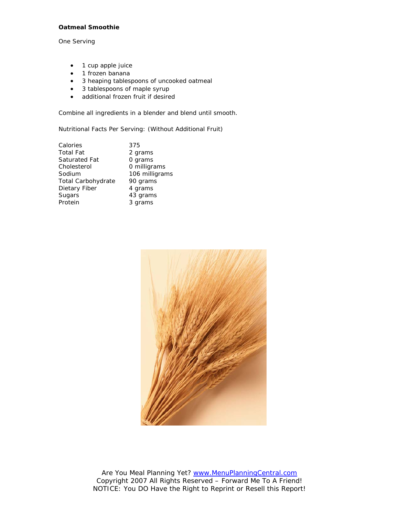#### **Oatmeal Smoothie**

One Serving

- 1 cup apple juice
- 1 frozen banana
- 3 heaping tablespoons of uncooked oatmeal
- 3 tablespoons of maple syrup
- additional frozen fruit if desired

Combine all ingredients in a blender and blend until smooth.

Nutritional Facts Per Serving: (Without Additional Fruit)

| Calories           | 375            |
|--------------------|----------------|
| Total Fat          | 2 grams        |
| Saturated Fat      | 0 grams        |
| Cholesterol        | 0 milligrams   |
| Sodium             | 106 milligrams |
| Total Carbohydrate | 90 grams       |
| Dietary Fiber      | 4 grams        |
| Sugars             | 43 grams       |
| Protein            | 3 grams        |
|                    |                |

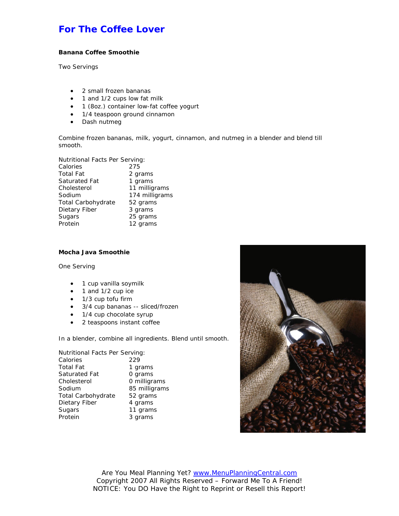# **For The Coffee Lover**

#### **Banana Coffee Smoothie**

Two Servings

- 2 small frozen bananas
- 1 and 1/2 cups low fat milk
- 1 (8oz.) container low-fat coffee yogurt
- 1/4 teaspoon ground cinnamon
- Dash nutmeg

Combine frozen bananas, milk, yogurt, cinnamon, and nutmeg in a blender and blend till smooth.

Nutritional Facts Per Serving: Calories 275 Total Fat 2 grams<br>
Saturated Fat 3 1 grams Saturated Fat Cholesterol 11 milligrams Sodium 174 milligrams Total Carbohydrate 52 grams Dietary Fiber 3 grams Sugars 25 grams

#### **Mocha Java Smoothie**

One Serving

• 1 cup vanilla soymilk

Protein 12 grams

- 1 and 1/2 cup ice
- 1/3 cup tofu firm
- 3/4 cup bananas -- sliced/frozen
- 1/4 cup chocolate syrup
- 2 teaspoons instant coffee

In a blender, combine all ingredients. Blend until smooth.

Nutritional Facts Per Serving: Calories 229 Total Fat 1 grams Saturated Fat 0 grams Cholesterol 0 milligrams Sodium 85 milligrams Total Carbohydrate 52 grams Dietary Fiber 4 grams Sugars 11 grams Protein 3 grams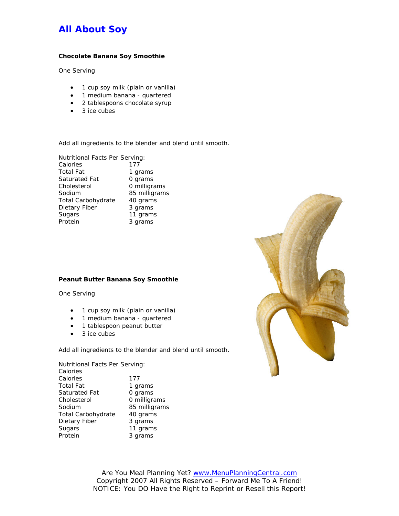# **All About Soy**

#### **Chocolate Banana Soy Smoothie**

One Serving

- 1 cup soy milk (plain or vanilla)
- 1 medium banana quartered
- 2 tablespoons chocolate syrup
- 3 ice cubes

Add all ingredients to the blender and blend until smooth.

Nutritional Facts Per Serving: Calories 177

| <b>Total Fat</b>          | 1 grams       |
|---------------------------|---------------|
|                           |               |
| Saturated Fat             | 0 grams       |
| Cholesterol               | 0 milligrams  |
| Sodium                    | 85 milligrams |
| <b>Total Carbohydrate</b> | 40 grams      |
| Dietary Fiber             | 3 grams       |
| Sugars                    | 11 grams      |
| Protein                   | 3 grams       |

#### **Peanut Butter Banana Soy Smoothie**

One Serving

- 1 cup soy milk (plain or vanilla)
- 1 medium banana quartered
- 1 tablespoon peanut butter
- 3 ice cubes

Add all ingredients to the blender and blend until smooth.

Nutritional Facts Per Serving: Calories Calories 177 Total Fat 1 grams Saturated Fat 0 grams<br>Cholesterol 0 milligrams Cholesterol Sodium 85 milligrams Total Carbohydrate 40 grams Dietary Fiber 3 grams Sugars 11 grams Protein 3 grams



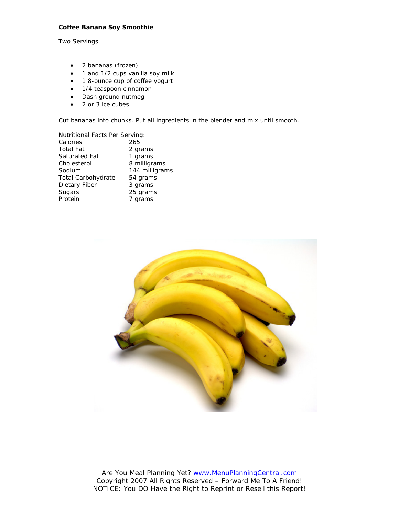#### **Coffee Banana Soy Smoothie**

Two Servings

- 2 bananas (frozen)
- 1 and 1/2 cups vanilla soy milk
- 1 8-ounce cup of coffee yogurt
- 1/4 teaspoon cinnamon
- Dash ground nutmeg
- 2 or 3 ice cubes

Cut bananas into chunks. Put all ingredients in the blender and mix until smooth.

| Nutritional Facts Per Serving: |                |
|--------------------------------|----------------|
| Calories                       | 265            |
| Total Fat                      | 2 grams        |
| Saturated Fat                  | 1 grams        |
| Cholesterol                    | 8 milligrams   |
| Sodium                         | 144 milligrams |
| Total Carbohydrate             | 54 grams       |
| Dietary Fiber                  | 3 grams        |
| Sugars                         | 25 grams       |
| Protein                        | 7 grams        |
|                                |                |

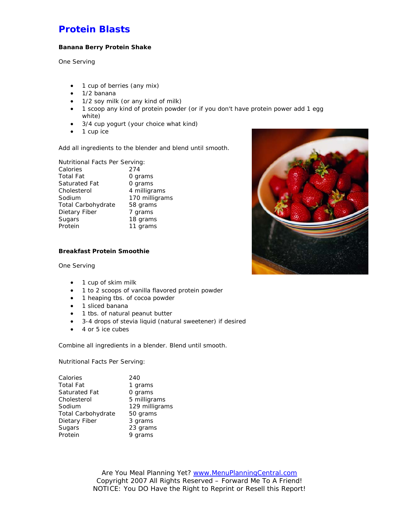# **Protein Blasts**

#### **Banana Berry Protein Shake**

One Serving

- 1 cup of berries (any mix)
- $\bullet$  1/2 banana
- 1/2 soy milk (or any kind of milk)
- 1 scoop any kind of protein powder (or if you don't have protein power add 1 egg white)
- 3/4 cup yogurt (your choice what kind)
- 1 cup ice

Add all ingredients to the blender and blend until smooth.

Nutritional Facts Per Serving:

| Calories           | 274            |
|--------------------|----------------|
| <b>Total Fat</b>   | 0 grams        |
| Saturated Fat      | 0 grams        |
| Cholesterol        | 4 milligrams   |
| Sodium             | 170 milligrams |
| Total Carbohydrate | 58 grams       |
| Dietary Fiber      | 7 grams        |
| Sugars             | 18 grams       |
| Protein            | 11 grams       |

#### **Breakfast Protein Smoothie**

One Serving

- 1 cup of skim milk
- 1 to 2 scoops of vanilla flavored protein powder
- 1 heaping tbs. of cocoa powder
- 1 sliced banana
- 1 tbs. of natural peanut butter
- 3-4 drops of stevia liquid (natural sweetener) if desired
- 4 or 5 ice cubes

Combine all ingredients in a blender. Blend until smooth.

Nutritional Facts Per Serving:

| Calories                  | 240            |
|---------------------------|----------------|
| <b>Total Fat</b>          | 1 grams        |
| Saturated Fat             | 0 grams        |
| Cholesterol               | 5 milligrams   |
| Sodium                    | 129 milligrams |
| <b>Total Carbohydrate</b> | 50 grams       |
| Dietary Fiber             | 3 grams        |
| Sugars                    | 23 grams       |
| Protein                   | 9 grams        |

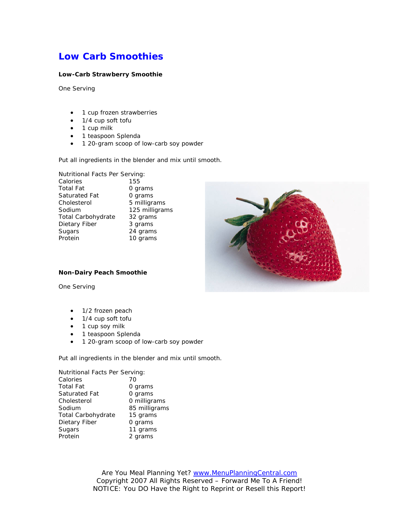# **Low Carb Smoothies**

#### **Low-Carb Strawberry Smoothie**

One Serving

- 1 cup frozen strawberries
- 1/4 cup soft tofu
- 1 cup milk
- 1 teaspoon Splenda
- 1 20-gram scoop of low-carb soy powder

Put all ingredients in the blender and mix until smooth.

| Nutritional Facts Per Serving: |                |
|--------------------------------|----------------|
| Calories                       | 155            |
| <b>Total Fat</b>               | 0 grams        |
| Saturated Fat                  | 0 grams        |
| Cholesterol                    | 5 milligrams   |
| Sodium                         | 125 milligrams |
| <b>Total Carbohydrate</b>      | 32 grams       |
| Dietary Fiber                  | 3 grams        |
| Sugars                         | 24 grams       |
| Protein                        | 10 grams       |



#### **Non-Dairy Peach Smoothie**

One Serving

- 1/2 frozen peach
- 1/4 cup soft tofu
- 1 cup soy milk
- 1 teaspoon Splenda
- 1 20-gram scoop of low-carb soy powder

Put all ingredients in the blender and mix until smooth.

| Nutritional Facts Per Serving: |               |
|--------------------------------|---------------|
| Calories                       | 70            |
| <b>Total Fat</b>               | 0 grams       |
| Saturated Fat                  | 0 grams       |
| Cholesterol                    | 0 milligrams  |
| Sodium                         | 85 milligrams |
| Total Carbohydrate             | 15 grams      |
| Dietary Fiber                  | 0 grams       |
| Sugars                         | 11 grams      |
| Protein                        | 2 grams       |
|                                |               |